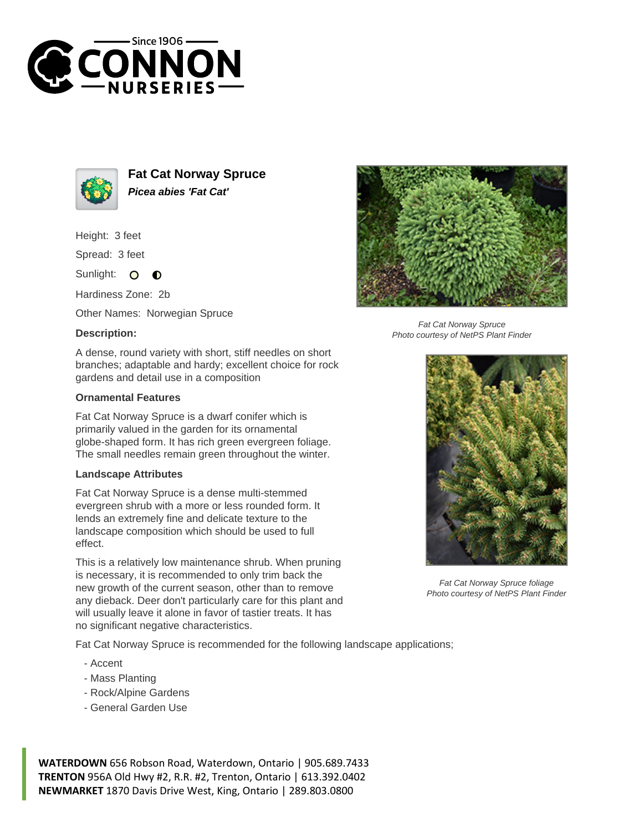



**Fat Cat Norway Spruce Picea abies 'Fat Cat'**

Height: 3 feet

Spread: 3 feet

Sunlight: O  $\bullet$ 

Hardiness Zone: 2b

Other Names: Norwegian Spruce

## **Description:**



## **Ornamental Features**

Fat Cat Norway Spruce is a dwarf conifer which is primarily valued in the garden for its ornamental globe-shaped form. It has rich green evergreen foliage. The small needles remain green throughout the winter.

## **Landscape Attributes**

Fat Cat Norway Spruce is a dense multi-stemmed evergreen shrub with a more or less rounded form. It lends an extremely fine and delicate texture to the landscape composition which should be used to full effect.

This is a relatively low maintenance shrub. When pruning is necessary, it is recommended to only trim back the new growth of the current season, other than to remove any dieback. Deer don't particularly care for this plant and will usually leave it alone in favor of tastier treats. It has no significant negative characteristics.

Fat Cat Norway Spruce is recommended for the following landscape applications;

- Accent
- Mass Planting
- Rock/Alpine Gardens
- General Garden Use

**WATERDOWN** 656 Robson Road, Waterdown, Ontario | 905.689.7433 **TRENTON** 956A Old Hwy #2, R.R. #2, Trenton, Ontario | 613.392.0402 **NEWMARKET** 1870 Davis Drive West, King, Ontario | 289.803.0800



Fat Cat Norway Spruce Photo courtesy of NetPS Plant Finder



Fat Cat Norway Spruce foliage Photo courtesy of NetPS Plant Finder